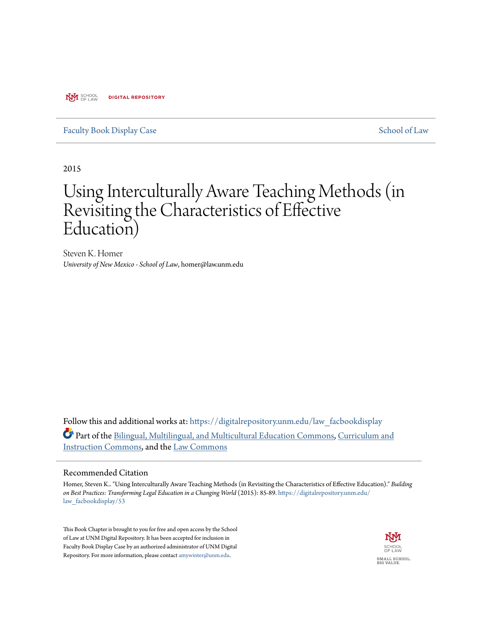**NYI** SCHOOL **DIGITAL REPOSITORY** 

## [Faculty Book Display Case](https://digitalrepository.unm.edu/law_facbookdisplay?utm_source=digitalrepository.unm.edu%2Flaw_facbookdisplay%2F53&utm_medium=PDF&utm_campaign=PDFCoverPages) [School of Law](https://digitalrepository.unm.edu/law?utm_source=digitalrepository.unm.edu%2Flaw_facbookdisplay%2F53&utm_medium=PDF&utm_campaign=PDFCoverPages)

2015

# Using Interculturally Aware Teaching Methods (in Revisiting the Characteristics of Effective Education)

Steven K. Homer *University of New Mexico - School of Law*, homer@law.unm.edu

Follow this and additional works at: [https://digitalrepository.unm.edu/law\\_facbookdisplay](https://digitalrepository.unm.edu/law_facbookdisplay?utm_source=digitalrepository.unm.edu%2Flaw_facbookdisplay%2F53&utm_medium=PDF&utm_campaign=PDFCoverPages) Part of the [Bilingual, Multilingual, and Multicultural Education Commons](http://network.bepress.com/hgg/discipline/785?utm_source=digitalrepository.unm.edu%2Flaw_facbookdisplay%2F53&utm_medium=PDF&utm_campaign=PDFCoverPages), [Curriculum and](http://network.bepress.com/hgg/discipline/786?utm_source=digitalrepository.unm.edu%2Flaw_facbookdisplay%2F53&utm_medium=PDF&utm_campaign=PDFCoverPages) [Instruction Commons](http://network.bepress.com/hgg/discipline/786?utm_source=digitalrepository.unm.edu%2Flaw_facbookdisplay%2F53&utm_medium=PDF&utm_campaign=PDFCoverPages), and the [Law Commons](http://network.bepress.com/hgg/discipline/578?utm_source=digitalrepository.unm.edu%2Flaw_facbookdisplay%2F53&utm_medium=PDF&utm_campaign=PDFCoverPages)

#### Recommended Citation

Homer, Steven K.. "Using Interculturally Aware Teaching Methods (in Revisiting the Characteristics of Effective Education)." *Building on Best Practices: Transforming Legal Education in a Changing World* (2015): 85-89. [https://digitalrepository.unm.edu/](https://digitalrepository.unm.edu/law_facbookdisplay/53?utm_source=digitalrepository.unm.edu%2Flaw_facbookdisplay%2F53&utm_medium=PDF&utm_campaign=PDFCoverPages) [law\\_facbookdisplay/53](https://digitalrepository.unm.edu/law_facbookdisplay/53?utm_source=digitalrepository.unm.edu%2Flaw_facbookdisplay%2F53&utm_medium=PDF&utm_campaign=PDFCoverPages)

This Book Chapter is brought to you for free and open access by the School of Law at UNM Digital Repository. It has been accepted for inclusion in Faculty Book Display Case by an authorized administrator of UNM Digital Repository. For more information, please contact [amywinter@unm.edu](mailto:amywinter@unm.edu).

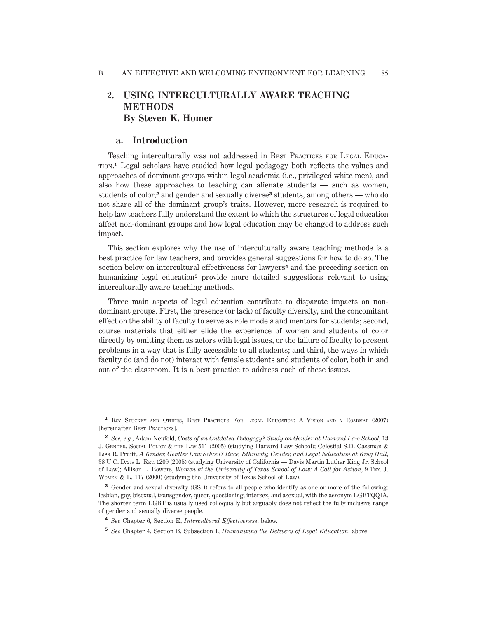# **2. USING INTERCULTURALLY AWARE TEACHING METHODS By Steven K. Homer**

#### **a. Introduction**

Teaching interculturally was not addressed in BEST PRACTICES FOR LEGAL EDUCA-TION. **<sup>1</sup>** Legal scholars have studied how legal pedagogy both reflects the values and approaches of dominant groups within legal academia (i.e., privileged white men), and also how these approaches to teaching can alienate students — such as women, students of color,**<sup>2</sup>** and gender and sexually diverse**<sup>3</sup>** students, among others — who do not share all of the dominant group's traits. However, more research is required to help law teachers fully understand the extent to which the structures of legal education affect non-dominant groups and how legal education may be changed to address such impact.

This section explores why the use of interculturally aware teaching methods is a best practice for law teachers, and provides general suggestions for how to do so. The section below on intercultural effectiveness for lawyers**<sup>4</sup>** and the preceding section on humanizing legal education**<sup>5</sup>** provide more detailed suggestions relevant to using interculturally aware teaching methods.

Three main aspects of legal education contribute to disparate impacts on nondominant groups. First, the presence (or lack) of faculty diversity, and the concomitant effect on the ability of faculty to serve as role models and mentors for students; second, course materials that either elide the experience of women and students of color directly by omitting them as actors with legal issues, or the failure of faculty to present problems in a way that is fully accessible to all students; and third, the ways in which faculty do (and do not) interact with female students and students of color, both in and out of the classroom. It is a best practice to address each of these issues.

- **<sup>4</sup>** *See* Chapter 6, Section E, *Intercultural Effectiveness*, below.
- **<sup>5</sup>** *See* Chapter 4, Section B, Subsection 1, *Humanizing the Delivery of Legal Education*, above.

<sup>&</sup>lt;sup>1</sup> ROY STUCKEY AND OTHERS, BEST PRACTICES FOR LEGAL EDUCATION: A VISION AND A ROADMAP (2007) [hereinafter BEST PRACTICES].

**<sup>2</sup>** *See, e.g.*, Adam Neufeld, *Costs of an Outdated Pedagogy? Study on Gender at Harvard Law School*, 13 J. GENDER, SOCIAL POLICY & THE LAW 511 (2005) (studying Harvard Law School); Celestial S.D. Cassman & Lisa R. Pruitt, *A Kinder, Gentler Law School? Race, Ethnicity, Gender, and Legal Education at King Hall*, 38 U.C. DAVIS L. REV. 1209 (2005) (studying University of California — Davis Martin Luther King Jr. School of Law); Allison L. Bowers, *Women at the University of Texas School of Law: A Call for Action*, 9 TEX. J. WOMEN & L. 117 (2000) (studying the University of Texas School of Law).

**<sup>3</sup>** Gender and sexual diversity (GSD) refers to all people who identify as one or more of the following: lesbian, gay, bisexual, transgender, queer, questioning, intersex, and asexual, with the acronym LGBTQQIA. The shorter term LGBT is usually used colloquially but arguably does not reflect the fully inclusive range of gender and sexually diverse people.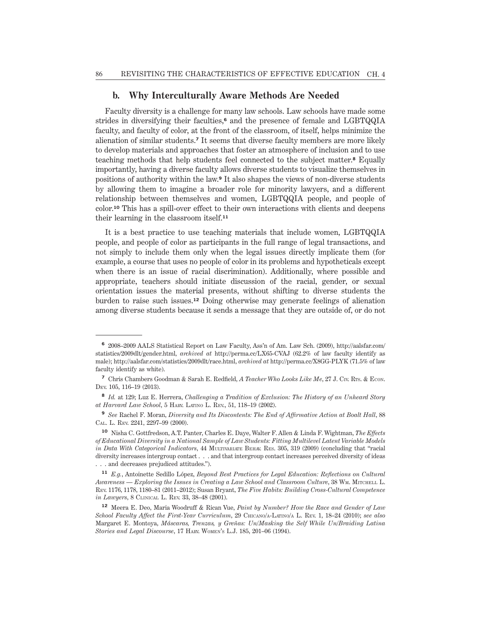## **b. Why Interculturally Aware Methods Are Needed**

Faculty diversity is a challenge for many law schools. Law schools have made some strides in diversifying their faculties,**<sup>6</sup>** and the presence of female and LGBTQQIA faculty, and faculty of color, at the front of the classroom, of itself, helps minimize the alienation of similar students.**<sup>7</sup>** It seems that diverse faculty members are more likely to develop materials and approaches that foster an atmosphere of inclusion and to use teaching methods that help students feel connected to the subject matter.**<sup>8</sup>** Equally importantly, having a diverse faculty allows diverse students to visualize themselves in positions of authority within the law.**<sup>9</sup>** It also shapes the views of non-diverse students by allowing them to imagine a broader role for minority lawyers, and a different relationship between themselves and women, LGBTQQIA people, and people of color.**<sup>10</sup>** This has a spill-over effect to their own interactions with clients and deepens their learning in the classroom itself.**<sup>11</sup>**

It is a best practice to use teaching materials that include women, LGBTQQIA people, and people of color as participants in the full range of legal transactions, and not simply to include them only when the legal issues directly implicate them (for example, a course that uses no people of color in its problems and hypotheticals except when there is an issue of racial discrimination). Additionally, where possible and appropriate, teachers should initiate discussion of the racial, gender, or sexual orientation issues the material presents, without shifting to diverse students the burden to raise such issues.**<sup>12</sup>** Doing otherwise may generate feelings of alienation among diverse students because it sends a message that they are outside of, or do not

**<sup>6</sup>** 2008–2009 AALS Statistical Report on Law Faculty, Ass'n of Am. Law Sch. (2009), [http://aalsfar.com/](style_01 core:url core:url 686) [statistics/2009dlt/gender.html,](style_01 core:url core:url 686) *archived at* [http://perma.cc/LX65-CVAJ](style_01 core:url core:url 686) (62.2% of law faculty identify as male); [http://aalsfar.com/statistics/2009dlt/race.html,](style_01 core:url core:url 686) *archived at* [http://perma.cc/X8GG-PLYK](style_01 core:url core:url 686) (71.5% of law faculty identify as white).

**<sup>7</sup>** Chris Chambers Goodman & Sarah E. Redfield, *A Teacher Who Looks Like Me*, 27 J. CIV. RTS. & ECON. DEV. 105, 116–19 (2013).

**<sup>8</sup>** *Id.* at 129; Luz E. Herrera, *Challenging a Tradition of Exclusion: The History of an Unheard Story at Harvard Law School*, 5 HARV. LATINO L. REV., 51, 118–19 (2002).

**<sup>9</sup>** *See* Rachel F. Moran, *Diversity and Its Discontents: The End of Affirmative Action at Boalt Hall*, 88 CAL. L. REV. 2241, 2297–99 (2000).

**<sup>10</sup>** Nisha C. Gottfredson, A.T. Panter, Charles E. Daye, Walter F. Allen & Linda F. Wightman, *The Effects of Educational Diversity in a National Sample of Law Students: Fitting Multilevel Latent Variable Models in Data With Categorical Indicators*, 44 MULTIVARIATE BEHAV. RES. 305, 319 (2009) (concluding that "racial diversity increases intergroup contact . . . and that intergroup contact increases perceived diversity of ideas . . . and decreases prejudiced attitudes.").

**<sup>11</sup>** *E.g.*, Antoinette Sedillo López, *Beyond Best Practices for Legal Education: Reflections on Cultural Awareness — Exploring the Issues in Creating a Law School and Classroom Culture*, 38 WM. MITCHELL L. REV. 1176, 1178, 1180–81 (2011–2012); Susan Bryant, *The Five Habits: Building Cross-Cultural Competence in Lawyers*, 8 CLINICAL L. REV. 33, 38–48 (2001).

**<sup>12</sup>** Meera E. Deo, Maria Woodruff & Rican Vue, *Paint by Number? How the Race and Gender of Law School Faculty Affect the First-Year Curriculum*, 29 CHICANO/A-LATINO/<sup>A</sup> L. REV. 1, 18–24 (2010); *see also* Margaret E. Montoya, *Máscaras, Trenzas, y Greñas: Un/Masking the Self While Un/Braiding Latina Stories and Legal Discourse*, 17 HARV. WOMEN'<sup>S</sup> L.J. 185, 201–06 (1994).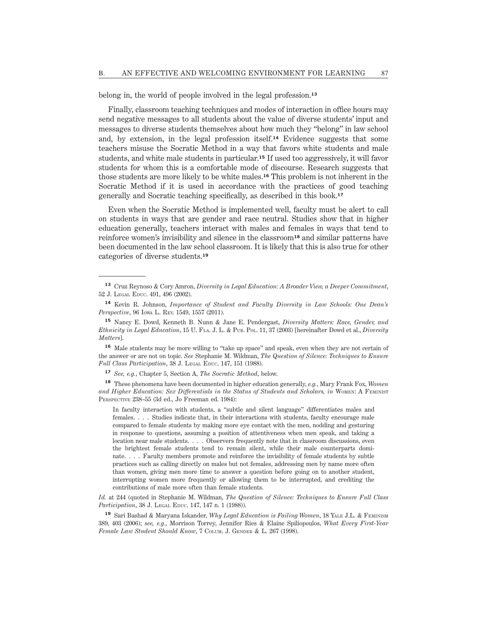belong in, the world of people involved in the legal profession.**<sup>13</sup>**

Finally, classroom teaching techniques and modes of interaction in office hours may send negative messages to all students about the value of diverse students' input and messages to diverse students themselves about how much they "belong" in law school and, by extension, in the legal profession itself.**<sup>14</sup>** Evidence suggests that some teachers misuse the Socratic Method in a way that favors white students and male students, and white male students in particular.**<sup>15</sup>** If used too aggressively, it will favor students for whom this is a comfortable mode of discourse. Research suggests that those students are more likely to be white males.**<sup>16</sup>** This problem is not inherent in the Socratic Method if it is used in accordance with the practices of good teaching generally and Socratic teaching specifically, as described in this book.**<sup>17</sup>**

Even when the Socratic Method is implemented well, faculty must be alert to call on students in ways that are gender and race neutral. Studies show that in higher education generally, teachers interact with males and females in ways that tend to reinforce women's invisibility and silence in the classroom**<sup>18</sup>** and similar patterns have been documented in the law school classroom. It is likely that this is also true for other categories of diverse students.**<sup>19</sup>**

**<sup>16</sup>** Male students may be more willing to "take up space" and speak, even when they are not certain of the answer or are not on topic. *See* Stephanie M. Wildman, *The Question of Silence: Techniques to Ensure Full Class Participation*, 38 J. LEGAL EDUC. 147, 151 (1988).

**<sup>17</sup>** *See, e.g.*, Chapter 5, Section A, *The Socratic Method*, below.

**<sup>18</sup>** These phenomena have been documented in higher education generally, *e.g.*, Mary Frank Fox, *Women* and Higher Education: Sex Differentials in the Status of Students and Scholars, in WOMEN: A FEMINIST PERSPECTIVE 238–55 (3d ed., Jo Freeman ed. 1984):

In faculty interaction with students, a "subtle and silent language" differentiates males and females. . . . Studies indicate that, in their interactions with students, faculty encourage male compared to female students by making more eye contact with the men, nodding and gesturing in response to questions, assuming a position of attentiveness when men speak, and taking a location near male students. . . . Observers frequently note that in classroom discussions, even the brightest female students tend to remain silent, while their male counterparts dominate. . . . Faculty members promote and reinforce the invisibility of female students by subtle practices such as calling directly on males but not females, addressing men by name more often than women, giving men more time to answer a question before going on to another student, interrupting women more frequently or allowing them to be interrupted, and crediting the contributions of male more often than female students.

*Id.* at 244 (quoted in Stephanie M. Wildman, *The Question of Silence: Techniques to Ensure Full Class Participation*, 38 J. LEGAL EDUC. 147, 147 n. 1 (1988)).

**<sup>19</sup>** Sari Bashad & Maryana Iskander, *Why Legal Education is Failing Women*, 18 YALE J.L. & FEMINISM 389, 403 (2006); *see, e.g.*, Morrison Torrey, Jennifer Ries & Elaine Spiliopoulos, *What Every First-Year Female Law Student Should Know*, 7 COLUM. J. GENDER & L. 267 (1998).

**<sup>13</sup>** Cruz Reynoso & Cory Amron, *Diversity in Legal Education: A Broader View, a Deeper Commitment*, 52 J. LEGAL EDUC. 491, 496 (2002).

**<sup>14</sup>** Kevin R. Johnson, *Importance of Student and Faculty Diversity in Law Schools: One Dean's Perspective*, 96 IOWA L. REV. 1549, 1557 (2011).

**<sup>15</sup>** Nancy E. Dowd, Kenneth B. Nunn & Jane E. Pendergast, *Diversity Matters: Race, Gender, and Ethnicity in Legal Education*, 15 U. FLA. J. L. & PUB. POL. 11, 37 (2003) [hereinafter Dowd et al., *Diversity Matters*].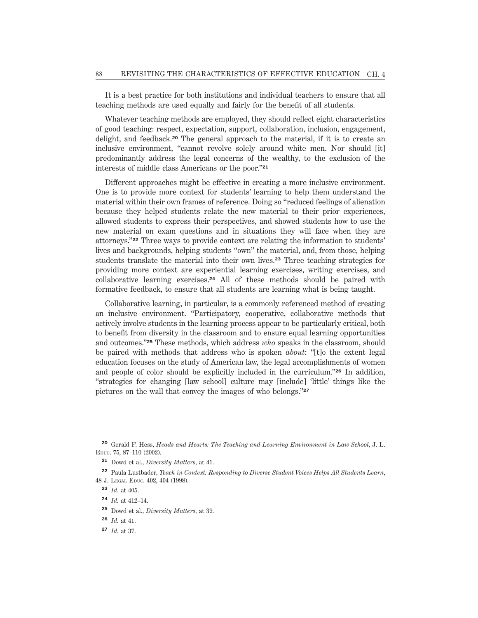It is a best practice for both institutions and individual teachers to ensure that all teaching methods are used equally and fairly for the benefit of all students.

Whatever teaching methods are employed, they should reflect eight characteristics of good teaching: respect, expectation, support, collaboration, inclusion, engagement, delight, and feedback.**<sup>20</sup>** The general approach to the material, if it is to create an inclusive environment, "cannot revolve solely around white men. Nor should [it] predominantly address the legal concerns of the wealthy, to the exclusion of the interests of middle class Americans or the poor."**<sup>21</sup>**

Different approaches might be effective in creating a more inclusive environment. One is to provide more context for students' learning to help them understand the material within their own frames of reference. Doing so "reduced feelings of alienation because they helped students relate the new material to their prior experiences, allowed students to express their perspectives, and showed students how to use the new material on exam questions and in situations they will face when they are attorneys."**<sup>22</sup>** Three ways to provide context are relating the information to students' lives and backgrounds, helping students "own" the material, and, from those, helping students translate the material into their own lives.**<sup>23</sup>** Three teaching strategies for providing more context are experiential learning exercises, writing exercises, and collaborative learning exercises.**<sup>24</sup>** All of these methods should be paired with formative feedback, to ensure that all students are learning what is being taught.

Collaborative learning, in particular, is a commonly referenced method of creating an inclusive environment. "Participatory, cooperative, collaborative methods that actively involve students in the learning process appear to be particularly critical, both to benefit from diversity in the classroom and to ensure equal learning opportunities and outcomes."**<sup>25</sup>** These methods, which address *who* speaks in the classroom, should be paired with methods that address who is spoken *about*: "[t]o the extent legal education focuses on the study of American law, the legal accomplishments of women and people of color should be explicitly included in the curriculum."**<sup>26</sup>** In addition, "strategies for changing [law school] culture may [include] 'little' things like the pictures on the wall that convey the images of who belongs."**<sup>27</sup>**

**<sup>20</sup>** Gerald F. Hess, *Heads and Hearts: The Teaching and Learning Environment in Law School*, J. L. EDUC. 75, 87–110 (2002).

**<sup>21</sup>** Dowd et al., *Diversity Matters*, at 41.

**<sup>22</sup>** Paula Lustbader, *Teach in Context: Responding to Diverse Student Voices Helps All Students Learn*, 48 J. LEGAL EDUC. 402, 404 (1998).

**<sup>23</sup>** *Id.* at 405.

**<sup>24</sup>** *Id.* at 412–14.

**<sup>25</sup>** Dowd et al., *Diversity Matters*, at 39.

**<sup>26</sup>** *Id.* at 41.

**<sup>27</sup>** *Id.* at 37.